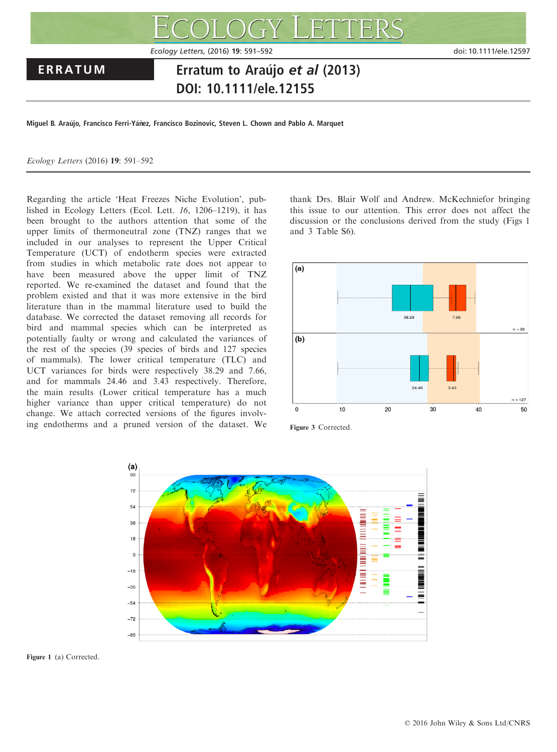

Miguel B. Araújo, Francisco Ferri-Yáñez, Francisco Bozinovic, Steven L. Chown and Pablo A. Marquet

Ecology Letters (2016) 19: 591–592

Regarding the article 'Heat Freezes Niche Evolution', published in Ecology Letters (Ecol. Lett. 16, 1206–1219), it has been brought to the authors attention that some of the upper limits of thermoneutral zone (TNZ) ranges that we included in our analyses to represent the Upper Critical Temperature (UCT) of endotherm species were extracted from studies in which metabolic rate does not appear to have been measured above the upper limit of TNZ reported. We re-examined the dataset and found that the problem existed and that it was more extensive in the bird literature than in the mammal literature used to build the database. We corrected the dataset removing all records for bird and mammal species which can be interpreted as potentially faulty or wrong and calculated the variances of the rest of the species (39 species of birds and 127 species of mammals). The lower critical temperature (TLC) and UCT variances for birds were respectively 38.29 and 7.66, and for mammals 24.46 and 3.43 respectively. Therefore, the main results (Lower critical temperature has a much higher variance than upper critical temperature) do not change. We attach corrected versions of the figures involving endotherms and a pruned version of the dataset. We

thank Drs. Blair Wolf and Andrew. McKechniefor bringing this issue to our attention. This error does not affect the discussion or the conclusions derived from the study (Figs 1 and 3 Table S6).







Figure 1 (a) Corrected.